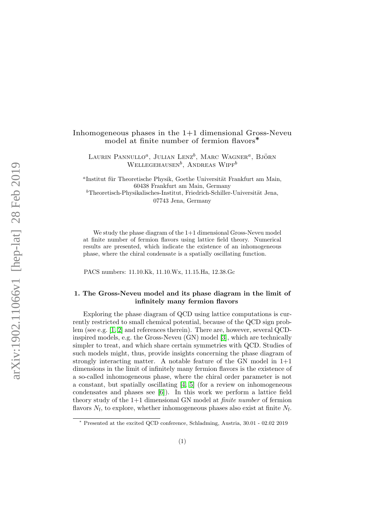# Inhomogeneous phases in the  $1+1$  dimensional Gross-Neveu model at finite number of fermion flavors∗

LAURIN PANNULLO<sup>a</sup>, JULIAN LENZ<sup>b</sup>, MARC WAGNER<sup>a</sup>, Björn  $WELLEGEHAUSER^b$ , ANDREAS WIPF<sup>b</sup>

<sup>a</sup>Institut für Theoretische Physik, Goethe Universität Frankfurt am Main, 60438 Frankfurt am Main, Germany  $b$ Theoretisch-Physikalisches-Institut, Friedrich-Schiller-Universität Jena, 07743 Jena, Germany

We study the phase diagram of the  $1+1$  dimensional Gross-Neveu model at finite number of fermion flavors using lattice field theory. Numerical results are presented, which indicate the existence of an inhomogeneous phase, where the chiral condensate is a spatially oscillating function.

PACS numbers: 11.10.Kk, 11.10.Wx, 11.15.Ha, 12.38.Gc

## 1. The Gross-Neveu model and its phase diagram in the limit of infinitely many fermion flavors

Exploring the phase diagram of QCD using lattice computations is currently restricted to small chemical potential, because of the QCD sign problem (see e.g. [\[1,](#page-5-0) [2\]](#page-5-1) and references therein). There are, however, several QCDinspired models, e.g. the Gross-Neveu (GN) model [\[3\]](#page-5-2), which are technically simpler to treat, and which share certain symmetries with QCD. Studies of such models might, thus, provide insights concerning the phase diagram of strongly interacting matter. A notable feature of the GN model in 1+1 dimensions in the limit of infinitely many fermion flavors is the existence of a so-called inhomogeneous phase, where the chiral order parameter is not a constant, but spatially oscillating [\[4,](#page-5-3) [5\]](#page-5-4) (for a review on inhomogeneous condensates and phases see [\[6\]](#page-5-5)). In this work we perform a lattice field theory study of the  $1+1$  dimensional GN model at *finite number* of fermion flavors  $N_f$ , to explore, whether inhomogeneous phases also exist at finite  $N_f$ .

<sup>∗</sup> Presented at the excited QCD conference, Schladming, Austria, 30.01 - 02.02 2019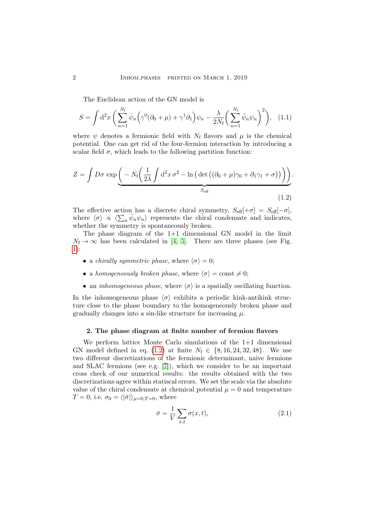The Euclidean action of the GN model is

$$
S = \int d^2x \left( \sum_{n=1}^{N_f} \bar{\psi}_n \left( \gamma^0 (\partial_0 + \mu) + \gamma^1 \partial_1 \right) \psi_n - \frac{\lambda}{2N_f} \left( \sum_{n=1}^{N_f} \bar{\psi}_n \psi_n \right)^2 \right), \quad (1.1)
$$

where  $\psi$  denotes a fermionic field with  $N_f$  flavors and  $\mu$  is the chemical potential. One can get rid of the four-fermion interaction by introducing a scalar field  $\sigma$ , which leads to the following partition function:

$$
Z = \int D\sigma \exp\left(-N_f \left(\frac{1}{2\lambda} \int d^2x \,\sigma^2 - \ln\left(\det\left((\partial_0 + \mu)\gamma_0 + \partial_1\gamma_1 + \sigma\right)\right)\right)\right).
$$
  
 
$$
S_{\text{eff}} \tag{1.2}
$$

<span id="page-1-0"></span>The effective action has a discrete chiral symmetry,  $S_{\text{eff}}[+\sigma] = S_{\text{eff}}[-\sigma]$ , where  $\langle \sigma \rangle \propto \langle \sum_n \bar{\psi}_n \psi_n \rangle$  represents the chiral condensate and indicates, whether the symmetry is spontaneously broken.

The phase diagram of the  $1+1$  dimensional GN model in the limit  $N_f \rightarrow \infty$  has been calculated in [\[4,](#page-5-3) [5\]](#page-5-4). There are three phases (see Fig. [1\)](#page-2-0):

- a *chirally symmetric phase*, where  $\langle \sigma \rangle = 0$ ;
- a homogeneously broken phase, where  $\langle \sigma \rangle = \text{const} \neq 0;$
- an *inhomogeneous phase*, where  $\langle \sigma \rangle$  is a spatially oscillating function.

In the inhomogeneous phase  $\langle \sigma \rangle$  exhibits a periodic kink-antikink structure close to the phase boundary to the homogeneously broken phase and gradually changes into a sin-like structure for increasing  $\mu$ .

#### 2. The phase diagram at finite number of fermion flavors

We perform lattice Monte Carlo simulations of the 1+1 dimensional GN model defined in eq. [\(1.2\)](#page-1-0) at finite  $N_f \in \{8, 16, 24, 32, 48\}$ . We use two different discretizations of the fermionic determinant, naive fermions and SLAC fermions (see e.g. [\[7\]](#page-5-6)), which we consider to be an important cross check of our numerical results: the results obtained with the two discretizations agree within statiscal errors. We set the scale via the absolute value of the chiral condensate at chemical potential  $\mu = 0$  and temperature  $T = 0$ , i.e.  $\sigma_0 = \langle |\bar{\sigma}| \rangle_{\mu=0, T=0}$ , where

$$
\bar{\sigma} = \frac{1}{V} \sum_{x,t} \sigma(x,t), \qquad (2.1)
$$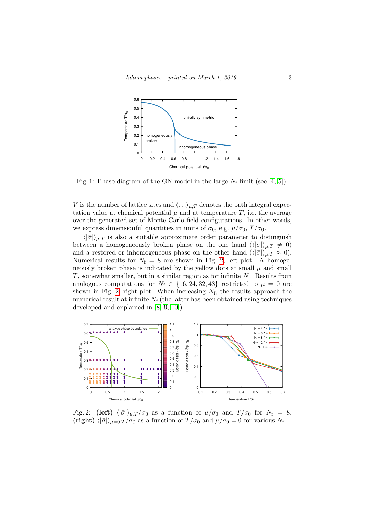<span id="page-2-0"></span>

Fig. 1: Phase diagram of the GN model in the large- $N_f$  limit (see [\[4,](#page-5-3) [5\]](#page-5-4)).

V is the number of lattice sites and  $\langle \ldots \rangle_{\mu,T}$  denotes the path integral expectation value at chemical potential  $\mu$  and at temperature T, i.e. the average over the generated set of Monte Carlo field configurations. In other words, we express dimensionful quantities in units of  $\sigma_0$ , e.g.  $\mu/\sigma_0$ ,  $T/\sigma_0$ .

 $\langle |\bar{\sigma}|\rangle_{\mu,T}$  is also a suitable approximate order parameter to distinguish between a homogeneously broken phase on the one hand  $(\langle |\bar{\sigma}|\rangle_{\mu,T} \neq 0)$ and a restored or inhomogeneous phase on the other hand  $(\langle |\bar{\sigma}|\rangle_{\mu,T} \approx 0)$ . Numerical results for  $N_f = 8$  are shown in Fig. [2,](#page-2-1) left plot. A homogeneously broken phase is indicated by the yellow dots at small  $\mu$  and small  $T$ , somewhat smaller, but in a similar region as for infinite  $N_f$ . Results from analogous computations for  $N_f \in \{16, 24, 32, 48\}$  restricted to  $\mu = 0$  are shown in Fig. [2,](#page-2-1) right plot. When increasing  $N_f$ , the results approach the numerical result at infinite  $N_f$  (the latter has been obtained using techniques developed and explained in [\[8,](#page-5-7) [9,](#page-5-8) [10\]](#page-5-9)).

<span id="page-2-1"></span>

Fig. 2: (left)  $\langle |\bar{\sigma}|\rangle_{\mu,T}/\sigma_0$  as a function of  $\mu/\sigma_0$  and  $T/\sigma_0$  for  $N_f = 8$ . (right)  $\langle |\bar{\sigma}|\rangle_{\mu=0,T} / \sigma_0$  as a function of  $T / \sigma_0$  and  $\mu / \sigma_0 = 0$  for various N<sub>f</sub>.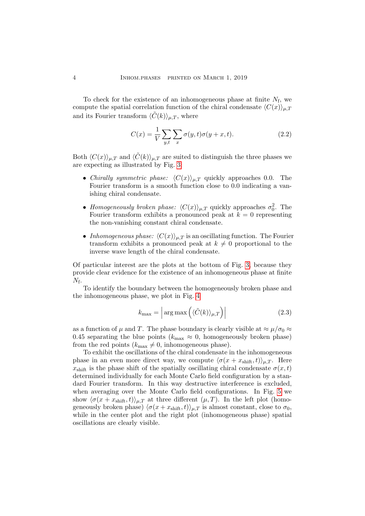To check for the existence of an inhomogeneous phase at finite  $N_f$ , we compute the spatial correlation function of the chiral condensate  $\langle C(x)\rangle_{\mu,T}$ and its Fourier transform  $\langle \tilde{C}(k) \rangle_{\mu,T}$ , where

$$
C(x) = \frac{1}{V} \sum_{y,t} \sum_{x} \sigma(y,t) \sigma(y+x,t).
$$
 (2.2)

Both  $\langle C(x)\rangle_{\mu,T}$  and  $\langle C(k)\rangle_{\mu,T}$  are suited to distinguish the three phases we are expecting as illustrated by Fig. [3:](#page-4-0)

- Chirally symmetric phase:  $\langle C(x)\rangle_{\mu,T}$  quickly approaches 0.0. The Fourier transform is a smooth function close to 0.0 indicating a vanishing chiral condensate.
- Homogeneously broken phase:  $\langle C(x) \rangle_{\mu,T}$  quickly approaches  $\sigma_0^2$ . The Fourier transform exhibits a pronounced peak at  $k = 0$  representing the non-vanishing constant chiral condensate.
- Inhomogeneous phase:  $\langle C(x)\rangle_{\mu,T}$  is an oscillating function. The Fourier transform exhibits a pronounced peak at  $k \neq 0$  proportional to the inverse wave length of the chiral condensate.

Of particular interest are the plots at the bottom of Fig. [3,](#page-4-0) because they provide clear evidence for the existence of an inhomogeneous phase at finite  $N_{\rm f}$ .

To identify the boundary between the homogeneously broken phase and the inhomogeneous phase, we plot in Fig. [4](#page-4-1)

$$
k_{\max} = \left| \arg \max \left( \langle \tilde{C}(k) \rangle_{\mu, T} \right) \right| \tag{2.3}
$$

as a function of  $\mu$  and T. The phase boundary is clearly visible at  $\approx \mu/\sigma_0 \approx$ 0.45 separating the blue points ( $k_{\text{max}} \approx 0$ , homogeneously broken phase) from the red points  $(k_{\text{max}} \neq 0, \text{inhomogeneous phase}).$ 

To exhibit the oscillations of the chiral condensate in the inhomogeneous phase in an even more direct way, we compute  $\langle \sigma(x + x_{\text{shift}}, t) \rangle_{\mu,T}$ . Here  $x_{\text{shift}}$  is the phase shift of the spatially oscillating chiral condensate  $\sigma(x,t)$ determined individually for each Monte Carlo field configuration by a standard Fourier transform. In this way destructive interference is excluded, when averaging over the Monte Carlo field configurations. In Fig. [5](#page-5-10) we show  $\langle \sigma(x + x_{\text{shift}}, t) \rangle_{\mu,T}$  at three different  $(\mu, T)$ . In the left plot (homogeneously broken phase)  $\langle \sigma(x + x_{\text{shift}}, t) \rangle_{\mu,T}$  is almost constant, close to  $\sigma_0$ , while in the center plot and the right plot (inhomogeneous phase) spatial oscillations are clearly visible.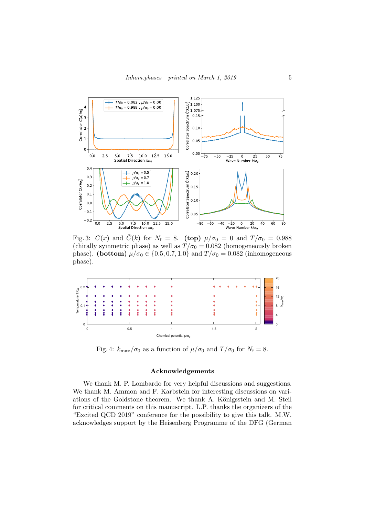<span id="page-4-0"></span>

Fig. 3:  $C(x)$  and  $\tilde{C}(k)$  for  $N_f = 8$ . (top)  $\mu/\sigma_0 = 0$  and  $T/\sigma_0 = 0.988$ (chirally symmetric phase) as well as  $T/\sigma_0 = 0.082$  (homogeneously broken phase). (bottom)  $\mu/\sigma_0 \in \{0.5, 0.7, 1.0\}$  and  $T/\sigma_0 = 0.082$  (inhomogeneous phase).

<span id="page-4-1"></span>

Fig. 4:  $k_{\text{max}}/\sigma_0$  as a function of  $\mu/\sigma_0$  and  $T/\sigma_0$  for  $N_f = 8$ .

### Acknowledgements

We thank M. P. Lombardo for very helpful discussions and suggestions. We thank M. Ammon and F. Karbstein for interesting discussions on variations of the Goldstone theorem. We thank A. Königsstein and M. Steil for critical comments on this manuscript. L.P. thanks the organizers of the "Excited QCD 2019" conference for the possibility to give this talk. M.W. acknowledges support by the Heisenberg Programme of the DFG (German